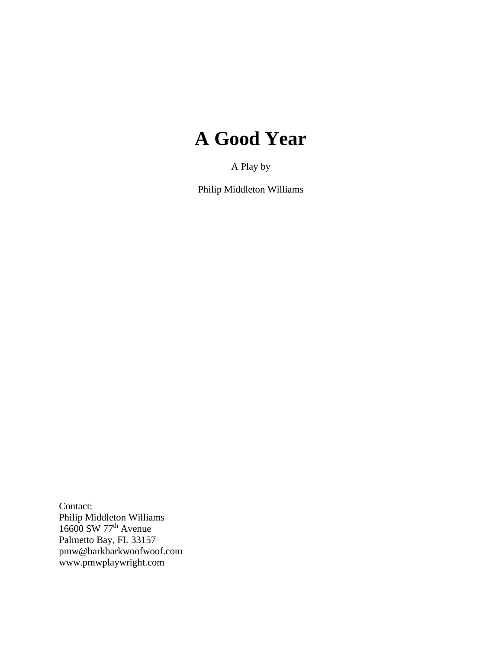# **A Good Year**

A Play by

Philip Middleton Williams

Contact: Philip Middleton Williams 16600 SW 77<sup>th</sup> Avenue Palmetto Bay, FL 33157 pmw@barkbarkwoofwoof.com www.pmwplaywright.com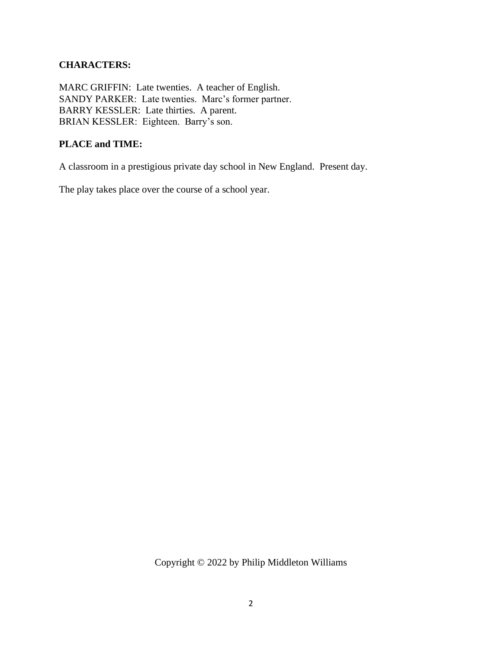## **CHARACTERS:**

MARC GRIFFIN: Late twenties. A teacher of English. SANDY PARKER: Late twenties. Marc's former partner. BARRY KESSLER: Late thirties. A parent. BRIAN KESSLER: Eighteen. Barry's son.

### **PLACE and TIME:**

A classroom in a prestigious private day school in New England. Present day.

The play takes place over the course of a school year.

Copyright © 2022 by Philip Middleton Williams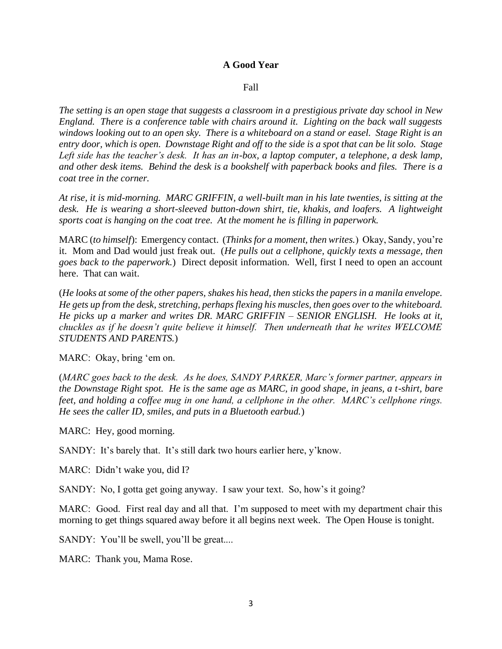#### **A Good Year**

#### Fall

*The setting is an open stage that suggests a classroom in a prestigious private day school in New England. There is a conference table with chairs around it. Lighting on the back wall suggests windows looking out to an open sky. There is a whiteboard on a stand or easel. Stage Right is an entry door, which is open. Downstage Right and off to the side is a spot that can be lit solo. Stage*  Left side has the teacher's desk. It has an in-box, a laptop computer, a telephone, a desk lamp, *and other desk items. Behind the desk is a bookshelf with paperback books and files. There is a coat tree in the corner.*

*At rise, it is mid-morning. MARC GRIFFIN, a well-built man in his late twenties, is sitting at the desk. He is wearing a short-sleeved button-down shirt, tie, khakis, and loafers. A lightweight sports coat is hanging on the coat tree. At the moment he is filling in paperwork.*

MARC (*to himself*): Emergency contact. (*Thinks for a moment, then writes.*) Okay, Sandy, you're it. Mom and Dad would just freak out. (*He pulls out a cellphone, quickly texts a message, then goes back to the paperwork.*) Direct deposit information. Well, first I need to open an account here. That can wait.

(*He looks at some of the other papers, shakes his head, then sticks the papers in a manila envelope. He gets up from the desk, stretching, perhaps flexing his muscles, then goes over to the whiteboard. He picks up a marker and writes DR. MARC GRIFFIN – SENIOR ENGLISH. He looks at it, chuckles as if he doesn't quite believe it himself. Then underneath that he writes WELCOME STUDENTS AND PARENTS.*)

MARC: Okay, bring 'em on.

(*MARC goes back to the desk. As he does, SANDY PARKER, Marc's former partner, appears in the Downstage Right spot. He is the same age as MARC, in good shape, in jeans, a t-shirt, bare feet, and holding a coffee mug in one hand, a cellphone in the other. MARC's cellphone rings. He sees the caller ID, smiles, and puts in a Bluetooth earbud.*)

MARC: Hey, good morning.

SANDY: It's barely that. It's still dark two hours earlier here, y'know.

MARC: Didn't wake you, did I?

SANDY: No, I gotta get going anyway. I saw your text. So, how's it going?

MARC: Good. First real day and all that. I'm supposed to meet with my department chair this morning to get things squared away before it all begins next week. The Open House is tonight.

SANDY: You'll be swell, you'll be great....

MARC: Thank you, Mama Rose.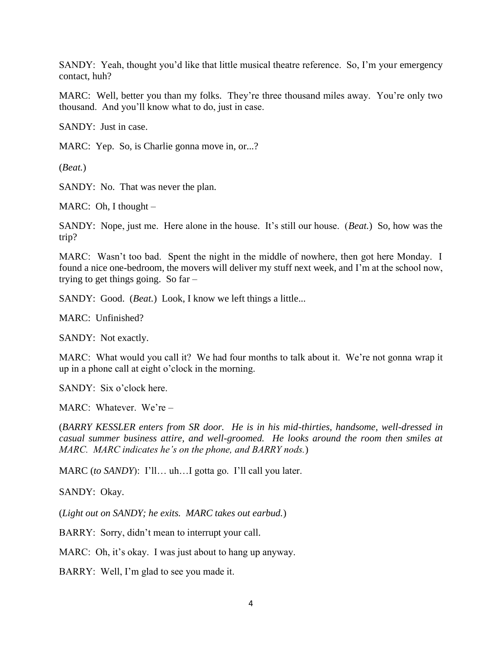SANDY: Yeah, thought you'd like that little musical theatre reference. So, I'm your emergency contact, huh?

MARC: Well, better you than my folks. They're three thousand miles away. You're only two thousand. And you'll know what to do, just in case.

SANDY: Just in case.

MARC: Yep. So, is Charlie gonna move in, or...?

(*Beat.*)

SANDY: No. That was never the plan.

MARC: Oh, I thought –

SANDY: Nope, just me. Here alone in the house. It's still our house. (*Beat.*) So, how was the trip?

MARC: Wasn't too bad. Spent the night in the middle of nowhere, then got here Monday. I found a nice one-bedroom, the movers will deliver my stuff next week, and I'm at the school now, trying to get things going. So far –

SANDY: Good. *(Beat.)* Look, I know we left things a little...

MARC: Unfinished?

SANDY: Not exactly.

MARC: What would you call it? We had four months to talk about it. We're not gonna wrap it up in a phone call at eight o'clock in the morning.

SANDY: Six o'clock here.

MARC: Whatever. We're –

(*BARRY KESSLER enters from SR door. He is in his mid-thirties, handsome, well-dressed in casual summer business attire, and well-groomed. He looks around the room then smiles at MARC. MARC indicates he's on the phone, and BARRY nods.*)

MARC (*to SANDY*): I'll… uh…I gotta go. I'll call you later.

SANDY: Okay.

(*Light out on SANDY; he exits. MARC takes out earbud.*)

BARRY: Sorry, didn't mean to interrupt your call.

MARC: Oh, it's okay. I was just about to hang up anyway.

BARRY: Well, I'm glad to see you made it.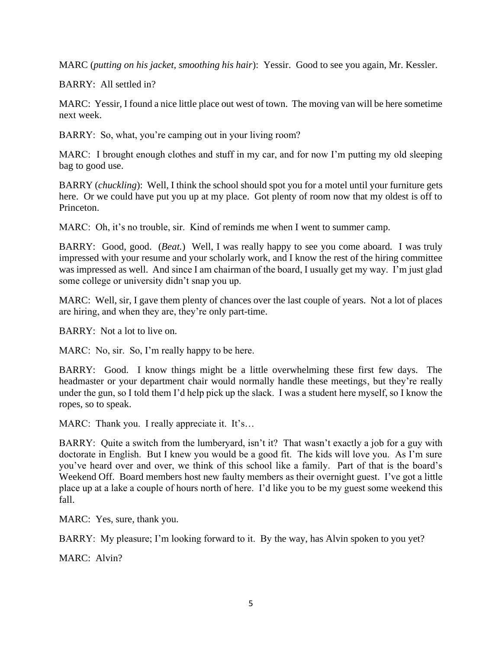MARC (*putting on his jacket, smoothing his hair*): Yessir. Good to see you again, Mr. Kessler.

BARRY: All settled in?

MARC: Yessir, I found a nice little place out west of town. The moving van will be here sometime next week.

BARRY: So, what, you're camping out in your living room?

MARC: I brought enough clothes and stuff in my car, and for now I'm putting my old sleeping bag to good use.

BARRY (*chuckling*): Well, I think the school should spot you for a motel until your furniture gets here. Or we could have put you up at my place. Got plenty of room now that my oldest is off to Princeton.

MARC: Oh, it's no trouble, sir. Kind of reminds me when I went to summer camp.

BARRY: Good, good. (*Beat.*) Well, I was really happy to see you come aboard. I was truly impressed with your resume and your scholarly work, and I know the rest of the hiring committee was impressed as well. And since I am chairman of the board, I usually get my way. I'm just glad some college or university didn't snap you up.

MARC: Well, sir, I gave them plenty of chances over the last couple of years. Not a lot of places are hiring, and when they are, they're only part-time.

BARRY: Not a lot to live on.

MARC: No, sir. So, I'm really happy to be here.

BARRY: Good. I know things might be a little overwhelming these first few days. The headmaster or your department chair would normally handle these meetings, but they're really under the gun, so I told them I'd help pick up the slack. I was a student here myself, so I know the ropes, so to speak.

MARC: Thank you. I really appreciate it. It's…

BARRY: Quite a switch from the lumberyard, isn't it? That wasn't exactly a job for a guy with doctorate in English. But I knew you would be a good fit. The kids will love you. As I'm sure you've heard over and over, we think of this school like a family. Part of that is the board's Weekend Off. Board members host new faulty members as their overnight guest. I've got a little place up at a lake a couple of hours north of here. I'd like you to be my guest some weekend this fall.

MARC: Yes, sure, thank you.

BARRY: My pleasure; I'm looking forward to it. By the way, has Alvin spoken to you yet?

MARC: Alvin?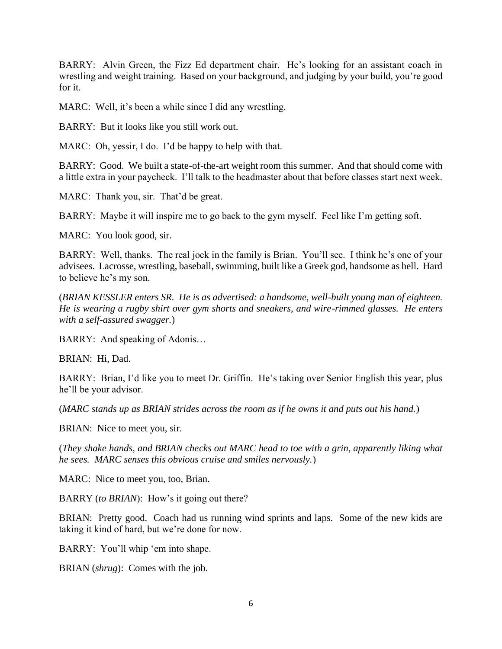BARRY: Alvin Green, the Fizz Ed department chair. He's looking for an assistant coach in wrestling and weight training. Based on your background, and judging by your build, you're good for it.

MARC: Well, it's been a while since I did any wrestling.

BARRY: But it looks like you still work out.

MARC: Oh, yessir, I do. I'd be happy to help with that.

BARRY: Good. We built a state-of-the-art weight room this summer. And that should come with a little extra in your paycheck. I'll talk to the headmaster about that before classes start next week.

MARC: Thank you, sir. That'd be great.

BARRY: Maybe it will inspire me to go back to the gym myself. Feel like I'm getting soft.

MARC: You look good, sir.

BARRY: Well, thanks. The real jock in the family is Brian. You'll see. I think he's one of your advisees. Lacrosse, wrestling, baseball, swimming, built like a Greek god, handsome as hell. Hard to believe he's my son.

(*BRIAN KESSLER enters SR. He is as advertised: a handsome, well-built young man of eighteen. He is wearing a rugby shirt over gym shorts and sneakers, and wire-rimmed glasses. He enters with a self-assured swagger.*)

BARRY: And speaking of Adonis…

BRIAN: Hi, Dad.

BARRY: Brian, I'd like you to meet Dr. Griffin. He's taking over Senior English this year, plus he'll be your advisor.

(*MARC stands up as BRIAN strides across the room as if he owns it and puts out his hand.*)

BRIAN: Nice to meet you, sir.

(*They shake hands, and BRIAN checks out MARC head to toe with a grin, apparently liking what he sees. MARC senses this obvious cruise and smiles nervously.*)

MARC: Nice to meet you, too, Brian.

BARRY (*to BRIAN*): How's it going out there?

BRIAN: Pretty good. Coach had us running wind sprints and laps. Some of the new kids are taking it kind of hard, but we're done for now.

BARRY: You'll whip 'em into shape.

BRIAN (*shrug*): Comes with the job.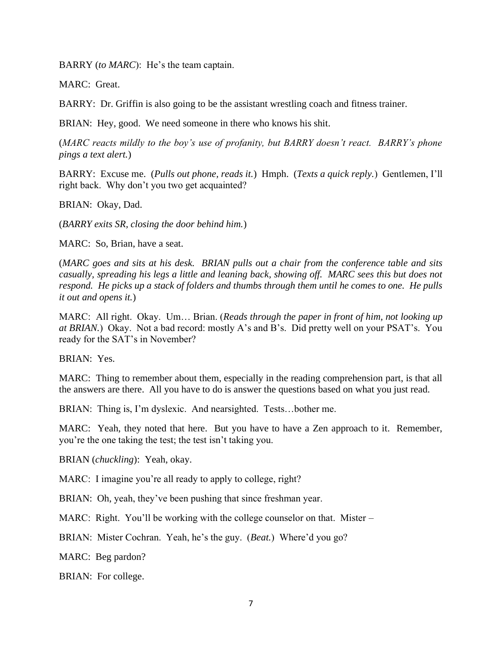BARRY (*to MARC*): He's the team captain.

MARC: Great.

BARRY: Dr. Griffin is also going to be the assistant wrestling coach and fitness trainer.

BRIAN: Hey, good. We need someone in there who knows his shit.

(*MARC reacts mildly to the boy's use of profanity, but BARRY doesn't react. BARRY's phone pings a text alert.*)

BARRY: Excuse me. (*Pulls out phone, reads it.*) Hmph. (*Texts a quick reply.*) Gentlemen, I'll right back. Why don't you two get acquainted?

BRIAN: Okay, Dad.

(*BARRY exits SR, closing the door behind him.*)

MARC: So, Brian, have a seat.

(*MARC goes and sits at his desk. BRIAN pulls out a chair from the conference table and sits casually, spreading his legs a little and leaning back, showing off. MARC sees this but does not respond. He picks up a stack of folders and thumbs through them until he comes to one. He pulls it out and opens it.*)

MARC: All right. Okay. Um… Brian. (*Reads through the paper in front of him, not looking up at BRIAN.*) Okay. Not a bad record: mostly A's and B's. Did pretty well on your PSAT's. You ready for the SAT's in November?

BRIAN: Yes.

MARC: Thing to remember about them, especially in the reading comprehension part, is that all the answers are there. All you have to do is answer the questions based on what you just read.

BRIAN: Thing is, I'm dyslexic. And nearsighted. Tests…bother me.

MARC: Yeah, they noted that here. But you have to have a Zen approach to it. Remember, you're the one taking the test; the test isn't taking you.

BRIAN (*chuckling*): Yeah, okay.

MARC: I imagine you're all ready to apply to college, right?

BRIAN: Oh, yeah, they've been pushing that since freshman year.

MARC: Right. You'll be working with the college counselor on that. Mister –

BRIAN: Mister Cochran. Yeah, he's the guy. (*Beat.*) Where'd you go?

MARC: Beg pardon?

BRIAN: For college.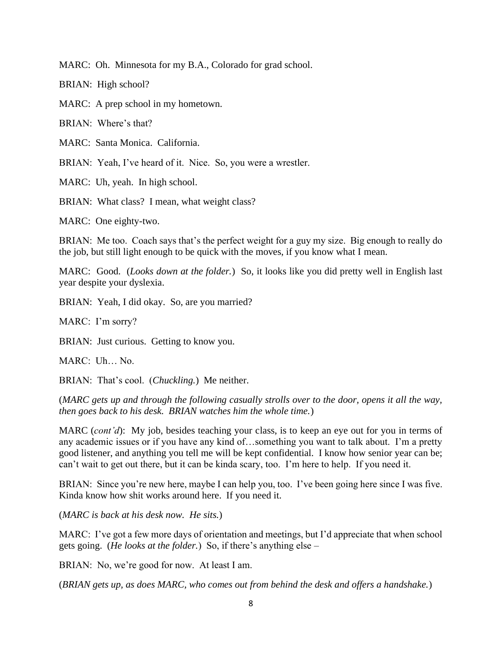MARC: Oh. Minnesota for my B.A., Colorado for grad school.

BRIAN: High school?

MARC: A prep school in my hometown.

BRIAN: Where's that?

MARC: Santa Monica. California.

BRIAN: Yeah, I've heard of it. Nice. So, you were a wrestler.

MARC: Uh, yeah. In high school.

BRIAN: What class? I mean, what weight class?

MARC: One eighty-two.

BRIAN: Me too. Coach says that's the perfect weight for a guy my size. Big enough to really do the job, but still light enough to be quick with the moves, if you know what I mean.

MARC: Good. (*Looks down at the folder.*) So, it looks like you did pretty well in English last year despite your dyslexia.

BRIAN: Yeah, I did okay. So, are you married?

MARC: I'm sorry?

BRIAN: Just curious. Getting to know you.

MARC: Uh… No.

BRIAN: That's cool. (*Chuckling.*) Me neither.

(*MARC gets up and through the following casually strolls over to the door, opens it all the way, then goes back to his desk. BRIAN watches him the whole time.*)

MARC (*cont'd*): My job, besides teaching your class, is to keep an eye out for you in terms of any academic issues or if you have any kind of…something you want to talk about. I'm a pretty good listener, and anything you tell me will be kept confidential. I know how senior year can be; can't wait to get out there, but it can be kinda scary, too. I'm here to help. If you need it.

BRIAN: Since you're new here, maybe I can help you, too. I've been going here since I was five. Kinda know how shit works around here. If you need it.

(*MARC is back at his desk now. He sits.*)

MARC: I've got a few more days of orientation and meetings, but I'd appreciate that when school gets going. (*He looks at the folder.*) So, if there's anything else –

BRIAN: No, we're good for now. At least I am.

(*BRIAN gets up, as does MARC, who comes out from behind the desk and offers a handshake.*)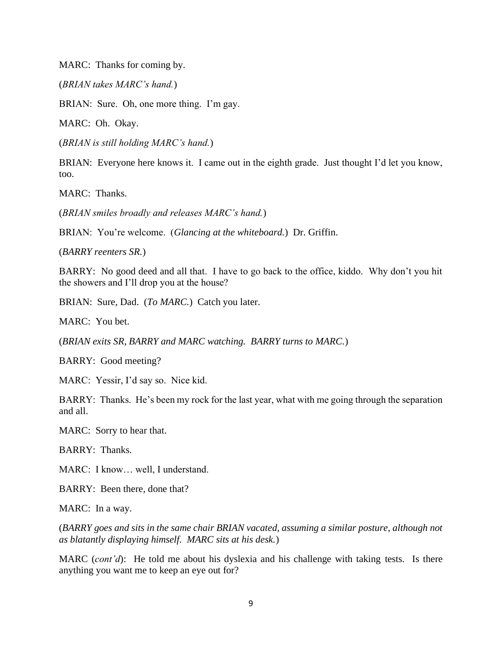MARC: Thanks for coming by.

(*BRIAN takes MARC's hand.*)

BRIAN: Sure. Oh, one more thing. I'm gay.

MARC: Oh. Okay.

(*BRIAN is still holding MARC's hand.*)

BRIAN: Everyone here knows it. I came out in the eighth grade. Just thought I'd let you know, too.

MARC: Thanks.

(*BRIAN smiles broadly and releases MARC's hand.*)

BRIAN: You're welcome. (*Glancing at the whiteboard.*) Dr. Griffin.

(*BARRY reenters SR.*)

BARRY: No good deed and all that. I have to go back to the office, kiddo. Why don't you hit the showers and I'll drop you at the house?

BRIAN: Sure, Dad. (*To MARC.*) Catch you later.

MARC: You bet.

(*BRIAN exits SR, BARRY and MARC watching. BARRY turns to MARC.*)

BARRY: Good meeting?

MARC: Yessir, I'd say so. Nice kid.

BARRY: Thanks. He's been my rock for the last year, what with me going through the separation and all.

MARC: Sorry to hear that.

BARRY: Thanks.

MARC: I know… well, I understand.

BARRY: Been there, done that?

MARC: In a way.

(*BARRY goes and sits in the same chair BRIAN vacated, assuming a similar posture, although not as blatantly displaying himself. MARC sits at his desk.*)

MARC (*cont'd*): He told me about his dyslexia and his challenge with taking tests. Is there anything you want me to keep an eye out for?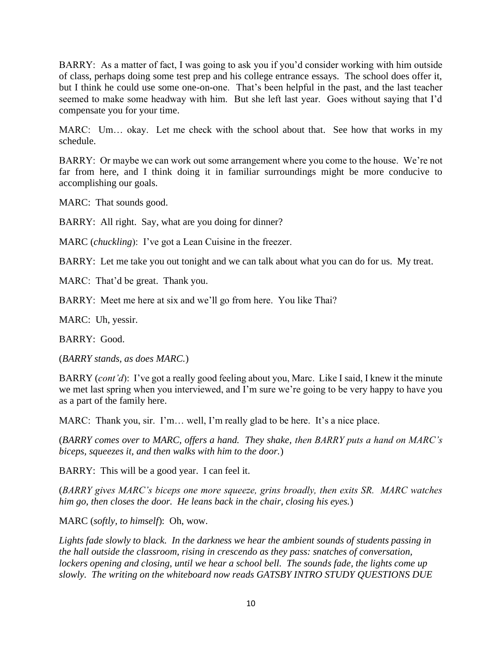BARRY: As a matter of fact, I was going to ask you if you'd consider working with him outside of class, perhaps doing some test prep and his college entrance essays. The school does offer it, but I think he could use some one-on-one. That's been helpful in the past, and the last teacher seemed to make some headway with him. But she left last year. Goes without saying that I'd compensate you for your time.

MARC: Um… okay. Let me check with the school about that. See how that works in my schedule.

BARRY: Or maybe we can work out some arrangement where you come to the house. We're not far from here, and I think doing it in familiar surroundings might be more conducive to accomplishing our goals.

MARC: That sounds good.

BARRY: All right. Say, what are you doing for dinner?

MARC (*chuckling*): I've got a Lean Cuisine in the freezer.

BARRY: Let me take you out tonight and we can talk about what you can do for us. My treat.

MARC: That'd be great. Thank you.

BARRY: Meet me here at six and we'll go from here. You like Thai?

MARC: Uh, yessir.

BARRY: Good.

(*BARRY stands, as does MARC.*)

BARRY (*cont'd*): I've got a really good feeling about you, Marc. Like I said, I knew it the minute we met last spring when you interviewed, and I'm sure we're going to be very happy to have you as a part of the family here.

MARC: Thank you, sir. I'm… well, I'm really glad to be here. It's a nice place.

(*BARRY comes over to MARC, offers a hand. They shake, then BARRY puts a hand on MARC's biceps, squeezes it, and then walks with him to the door.*)

BARRY: This will be a good year. I can feel it.

(*BARRY gives MARC's biceps one more squeeze, grins broadly, then exits SR. MARC watches him go, then closes the door. He leans back in the chair, closing his eyes.*)

MARC (*softly, to himself*): Oh, wow.

*Lights fade slowly to black. In the darkness we hear the ambient sounds of students passing in the hall outside the classroom, rising in crescendo as they pass: snatches of conversation, lockers opening and closing, until we hear a school bell. The sounds fade, the lights come up slowly. The writing on the whiteboard now reads GATSBY INTRO STUDY QUESTIONS DUE*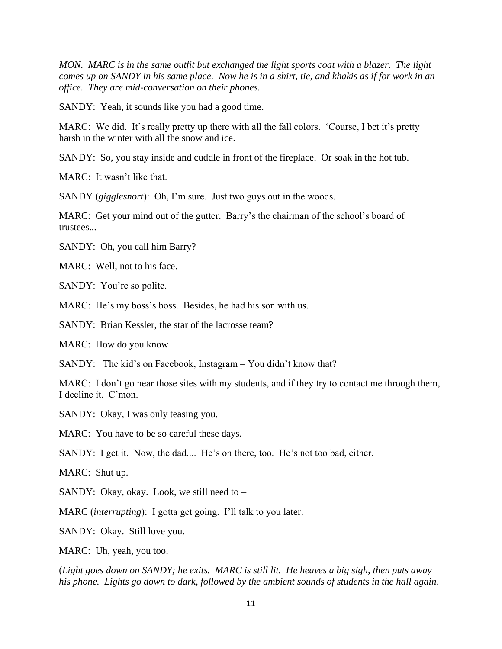*MON. MARC is in the same outfit but exchanged the light sports coat with a blazer. The light comes up on SANDY in his same place. Now he is in a shirt, tie, and khakis as if for work in an office. They are mid-conversation on their phones.*

SANDY: Yeah, it sounds like you had a good time.

MARC: We did. It's really pretty up there with all the fall colors. 'Course, I bet it's pretty harsh in the winter with all the snow and ice.

SANDY: So, you stay inside and cuddle in front of the fireplace. Or soak in the hot tub.

MARC: It wasn't like that.

SANDY (*gigglesnort*): Oh, I'm sure. Just two guys out in the woods.

MARC: Get your mind out of the gutter. Barry's the chairman of the school's board of trustees...

SANDY: Oh, you call him Barry?

MARC: Well, not to his face.

SANDY: You're so polite.

MARC: He's my boss's boss. Besides, he had his son with us.

SANDY: Brian Kessler, the star of the lacrosse team?

MARC: How do you know –

SANDY: The kid's on Facebook, Instagram – You didn't know that?

MARC: I don't go near those sites with my students, and if they try to contact me through them, I decline it. C'mon.

SANDY: Okay, I was only teasing you.

MARC: You have to be so careful these days.

SANDY: I get it. Now, the dad.... He's on there, too. He's not too bad, either.

MARC: Shut up.

SANDY: Okay, okay. Look, we still need to –

MARC (*interrupting*): I gotta get going. I'll talk to you later.

SANDY: Okay. Still love you.

MARC: Uh, yeah, you too.

(*Light goes down on SANDY; he exits. MARC is still lit. He heaves a big sigh, then puts away his phone. Lights go down to dark, followed by the ambient sounds of students in the hall again.*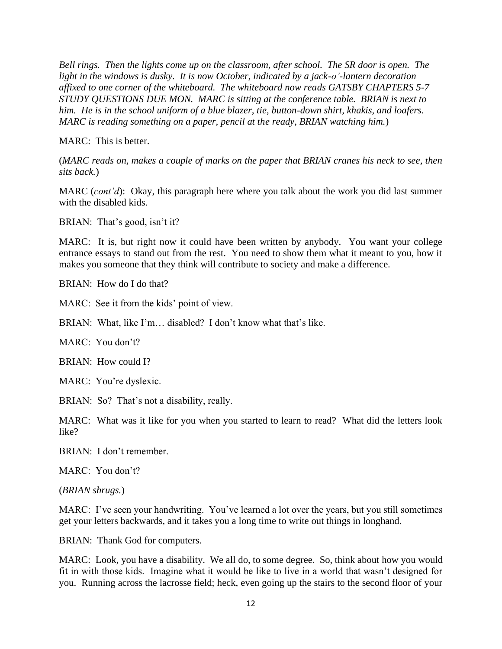*Bell rings. Then the lights come up on the classroom, after school. The SR door is open. The light in the windows is dusky. It is now October, indicated by a jack-o'-lantern decoration affixed to one corner of the whiteboard. The whiteboard now reads GATSBY CHAPTERS 5-7 STUDY QUESTIONS DUE MON. MARC is sitting at the conference table. BRIAN is next to him. He is in the school uniform of a blue blazer, tie, button-down shirt, khakis, and loafers. MARC is reading something on a paper, pencil at the ready, BRIAN watching him.*)

MARC: This is better.

(*MARC reads on, makes a couple of marks on the paper that BRIAN cranes his neck to see, then sits back.*)

MARC (*cont'd*): Okay, this paragraph here where you talk about the work you did last summer with the disabled kids.

BRIAN: That's good, isn't it?

MARC: It is, but right now it could have been written by anybody. You want your college entrance essays to stand out from the rest. You need to show them what it meant to you, how it makes you someone that they think will contribute to society and make a difference.

BRIAN: How do I do that?

MARC: See it from the kids' point of view.

BRIAN: What, like I'm… disabled? I don't know what that's like.

MARC: You don't?

BRIAN: How could I?

MARC: You're dyslexic.

BRIAN: So? That's not a disability, really.

MARC: What was it like for you when you started to learn to read? What did the letters look like?

BRIAN: I don't remember.

MARC: You don't?

(*BRIAN shrugs.*)

MARC: I've seen your handwriting. You've learned a lot over the years, but you still sometimes get your letters backwards, and it takes you a long time to write out things in longhand.

BRIAN: Thank God for computers.

MARC: Look, you have a disability. We all do, to some degree. So, think about how you would fit in with those kids. Imagine what it would be like to live in a world that wasn't designed for you. Running across the lacrosse field; heck, even going up the stairs to the second floor of your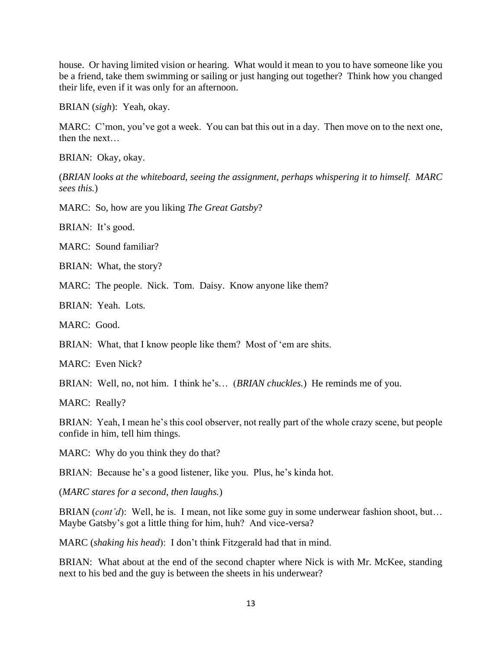house. Or having limited vision or hearing. What would it mean to you to have someone like you be a friend, take them swimming or sailing or just hanging out together? Think how you changed their life, even if it was only for an afternoon.

BRIAN (*sigh*): Yeah, okay.

MARC: C'mon, you've got a week. You can bat this out in a day. Then move on to the next one, then the next…

BRIAN: Okay, okay.

(*BRIAN looks at the whiteboard, seeing the assignment, perhaps whispering it to himself. MARC sees this.*)

MARC: So, how are you liking *The Great Gatsby*?

BRIAN: It's good.

MARC: Sound familiar?

BRIAN: What, the story?

MARC: The people. Nick. Tom. Daisy. Know anyone like them?

BRIAN: Yeah. Lots.

MARC: Good.

BRIAN: What, that I know people like them? Most of 'em are shits.

MARC: Even Nick?

BRIAN: Well, no, not him. I think he's… (*BRIAN chuckles.*) He reminds me of you.

MARC: Really?

BRIAN: Yeah, I mean he's this cool observer, not really part of the whole crazy scene, but people confide in him, tell him things.

MARC: Why do you think they do that?

BRIAN: Because he's a good listener, like you. Plus, he's kinda hot.

(*MARC stares for a second, then laughs.*)

BRIAN (*cont'd*): Well, he is. I mean, not like some guy in some underwear fashion shoot, but… Maybe Gatsby's got a little thing for him, huh? And vice-versa?

MARC (*shaking his head*): I don't think Fitzgerald had that in mind.

BRIAN: What about at the end of the second chapter where Nick is with Mr. McKee, standing next to his bed and the guy is between the sheets in his underwear?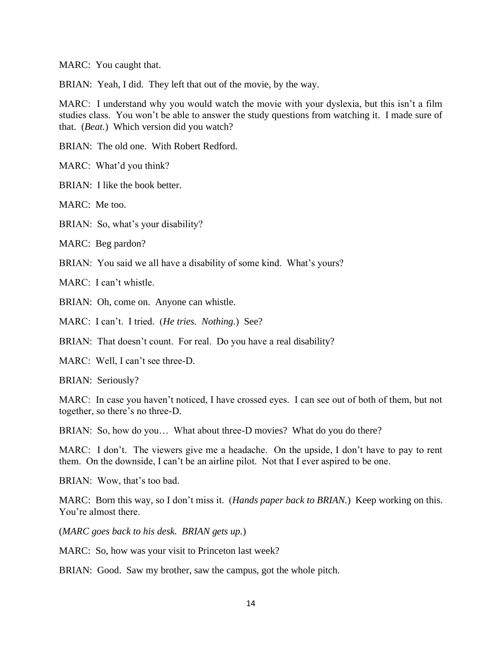MARC: You caught that.

BRIAN: Yeah, I did. They left that out of the movie, by the way.

MARC: I understand why you would watch the movie with your dyslexia, but this isn't a film studies class. You won't be able to answer the study questions from watching it. I made sure of that. (*Beat.*) Which version did you watch?

BRIAN: The old one. With Robert Redford.

MARC: What'd you think?

BRIAN: I like the book better.

MARC: Me too.

BRIAN: So, what's your disability?

MARC: Beg pardon?

BRIAN: You said we all have a disability of some kind. What's yours?

MARC: I can't whistle.

BRIAN: Oh, come on. Anyone can whistle.

MARC: I can't. I tried. (*He tries. Nothing.*) See?

BRIAN: That doesn't count. For real. Do you have a real disability?

MARC: Well, I can't see three-D.

BRIAN: Seriously?

MARC: In case you haven't noticed, I have crossed eyes. I can see out of both of them, but not together, so there's no three-D.

BRIAN: So, how do you… What about three-D movies? What do you do there?

MARC: I don't. The viewers give me a headache. On the upside, I don't have to pay to rent them. On the downside, I can't be an airline pilot. Not that I ever aspired to be one.

BRIAN: Wow, that's too bad.

MARC: Born this way, so I don't miss it. (*Hands paper back to BRIAN.*) Keep working on this. You're almost there.

(*MARC goes back to his desk. BRIAN gets up.*)

MARC: So, how was your visit to Princeton last week?

BRIAN: Good. Saw my brother, saw the campus, got the whole pitch.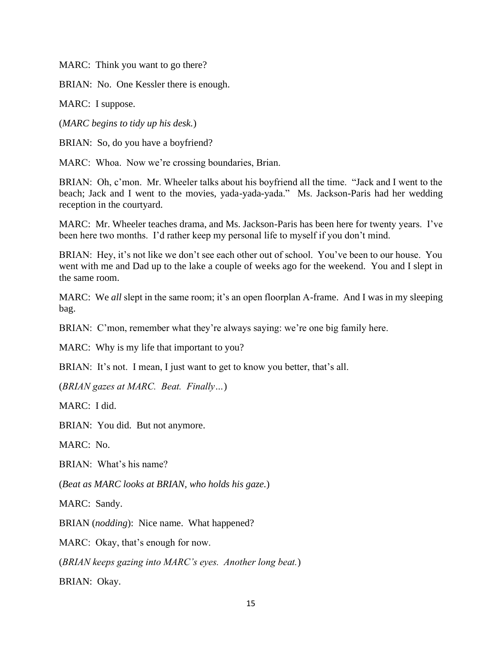MARC: Think you want to go there?

BRIAN: No. One Kessler there is enough.

MARC: I suppose.

(*MARC begins to tidy up his desk.*)

BRIAN: So, do you have a boyfriend?

MARC: Whoa. Now we're crossing boundaries, Brian.

BRIAN: Oh, c'mon. Mr. Wheeler talks about his boyfriend all the time. "Jack and I went to the beach; Jack and I went to the movies, yada-yada-yada." Ms. Jackson-Paris had her wedding reception in the courtyard.

MARC: Mr. Wheeler teaches drama, and Ms. Jackson-Paris has been here for twenty years. I've been here two months. I'd rather keep my personal life to myself if you don't mind.

BRIAN: Hey, it's not like we don't see each other out of school. You've been to our house. You went with me and Dad up to the lake a couple of weeks ago for the weekend. You and I slept in the same room.

MARC: We *all* slept in the same room; it's an open floorplan A-frame. And I was in my sleeping bag.

BRIAN: C'mon, remember what they're always saying: we're one big family here.

MARC: Why is my life that important to you?

BRIAN: It's not. I mean, I just want to get to know you better, that's all.

(*BRIAN gazes at MARC. Beat. Finally…*)

MARC: I did.

BRIAN: You did. But not anymore.

MARC: No.

BRIAN: What's his name?

(*Beat as MARC looks at BRIAN, who holds his gaze.*)

MARC: Sandy.

BRIAN (*nodding*): Nice name. What happened?

MARC: Okay, that's enough for now.

(*BRIAN keeps gazing into MARC's eyes. Another long beat.*)

BRIAN: Okay.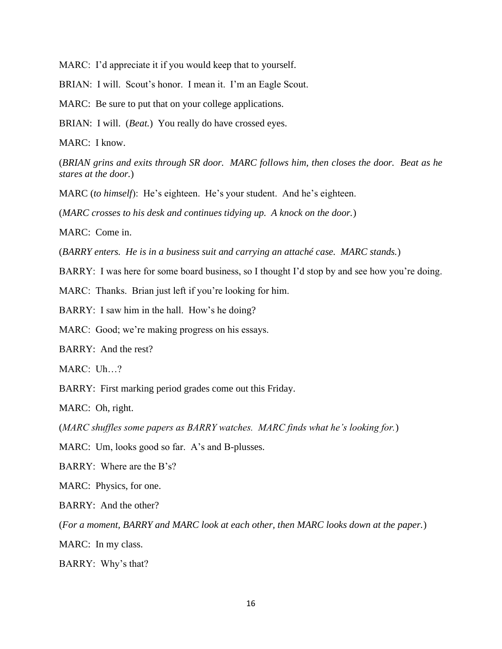MARC: I'd appreciate it if you would keep that to yourself.

BRIAN: I will. Scout's honor. I mean it. I'm an Eagle Scout.

MARC: Be sure to put that on your college applications.

BRIAN: I will. (*Beat.*) You really do have crossed eyes.

MARC: I know.

(*BRIAN grins and exits through SR door. MARC follows him, then closes the door. Beat as he stares at the door.*)

MARC (*to himself*): He's eighteen. He's your student. And he's eighteen.

(*MARC crosses to his desk and continues tidying up. A knock on the door.*)

MARC: Come in.

(*BARRY enters. He is in a business suit and carrying an attaché case. MARC stands.*)

BARRY: I was here for some board business, so I thought I'd stop by and see how you're doing.

MARC: Thanks. Brian just left if you're looking for him.

BARRY: I saw him in the hall. How's he doing?

MARC: Good; we're making progress on his essays.

BARRY: And the rest?

MARC: Uh…?

BARRY: First marking period grades come out this Friday.

MARC: Oh, right.

(*MARC shuffles some papers as BARRY watches. MARC finds what he's looking for.*)

MARC: Um, looks good so far. A's and B-plusses.

BARRY: Where are the B's?

MARC: Physics, for one.

BARRY: And the other?

(*For a moment, BARRY and MARC look at each other, then MARC looks down at the paper.*)

MARC: In my class.

BARRY: Why's that?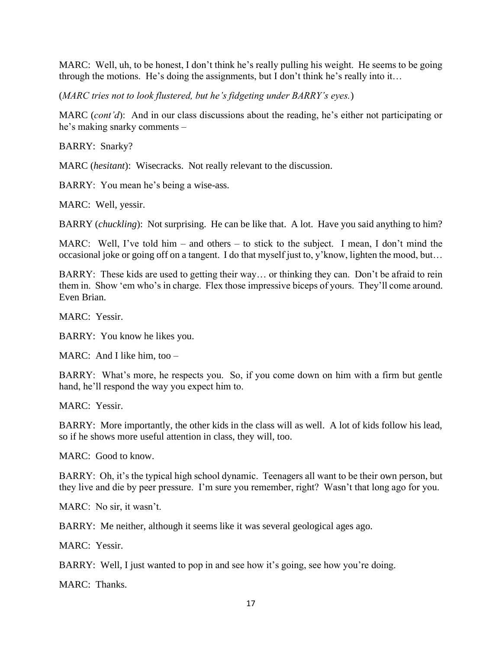MARC: Well, uh, to be honest, I don't think he's really pulling his weight. He seems to be going through the motions. He's doing the assignments, but I don't think he's really into it…

(*MARC tries not to look flustered, but he's fidgeting under BARRY's eyes.*)

MARC (*cont'd*): And in our class discussions about the reading, he's either not participating or he's making snarky comments –

BARRY: Snarky?

MARC (*hesitant*): Wisecracks. Not really relevant to the discussion.

BARRY: You mean he's being a wise-ass.

MARC: Well, yessir.

BARRY (*chuckling*): Not surprising. He can be like that. A lot. Have you said anything to him?

MARC: Well, I've told him – and others – to stick to the subject. I mean, I don't mind the occasional joke or going off on a tangent. I do that myself just to, y'know, lighten the mood, but…

BARRY: These kids are used to getting their way… or thinking they can. Don't be afraid to rein them in. Show 'em who's in charge. Flex those impressive biceps of yours. They'll come around. Even Brian.

MARC: Yessir.

BARRY: You know he likes you.

MARC: And I like him, too –

BARRY: What's more, he respects you. So, if you come down on him with a firm but gentle hand, he'll respond the way you expect him to.

MARC: Yessir.

BARRY: More importantly, the other kids in the class will as well. A lot of kids follow his lead, so if he shows more useful attention in class, they will, too.

MARC: Good to know.

BARRY: Oh, it's the typical high school dynamic. Teenagers all want to be their own person, but they live and die by peer pressure. I'm sure you remember, right? Wasn't that long ago for you.

MARC: No sir, it wasn't.

BARRY: Me neither, although it seems like it was several geological ages ago.

MARC: Yessir.

BARRY: Well, I just wanted to pop in and see how it's going, see how you're doing.

MARC: Thanks.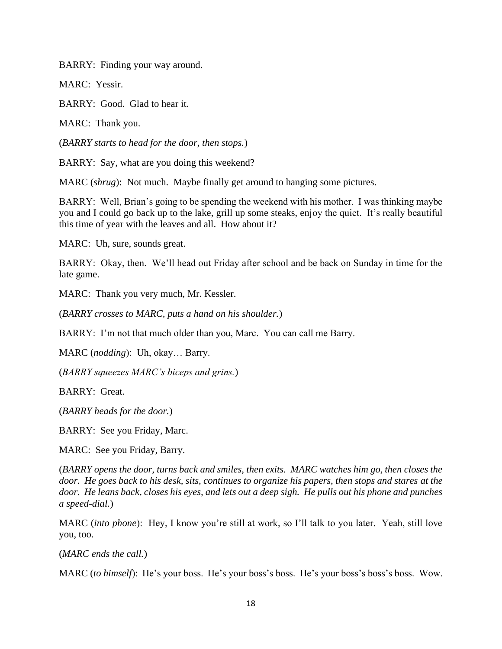BARRY: Finding your way around.

MARC: Yessir.

BARRY: Good. Glad to hear it.

MARC: Thank you.

(*BARRY starts to head for the door, then stops.*)

BARRY: Say, what are you doing this weekend?

MARC (*shrug*): Not much. Maybe finally get around to hanging some pictures.

BARRY: Well, Brian's going to be spending the weekend with his mother. I was thinking maybe you and I could go back up to the lake, grill up some steaks, enjoy the quiet. It's really beautiful this time of year with the leaves and all. How about it?

MARC: Uh, sure, sounds great.

BARRY: Okay, then. We'll head out Friday after school and be back on Sunday in time for the late game.

MARC: Thank you very much, Mr. Kessler.

(*BARRY crosses to MARC, puts a hand on his shoulder.*)

BARRY: I'm not that much older than you, Marc. You can call me Barry.

MARC (*nodding*): Uh, okay… Barry.

(*BARRY squeezes MARC's biceps and grins.*)

BARRY: Great.

(*BARRY heads for the door.*)

BARRY: See you Friday, Marc.

MARC: See you Friday, Barry.

(*BARRY opens the door, turns back and smiles, then exits. MARC watches him go, then closes the door. He goes back to his desk, sits, continues to organize his papers, then stops and stares at the door. He leans back, closes his eyes, and lets out a deep sigh. He pulls out his phone and punches a speed-dial.*)

MARC (*into phone*): Hey, I know you're still at work, so I'll talk to you later. Yeah, still love you, too.

(*MARC ends the call.*)

MARC (*to himself*): He's your boss. He's your boss's boss. He's your boss's boss's boss. Wow.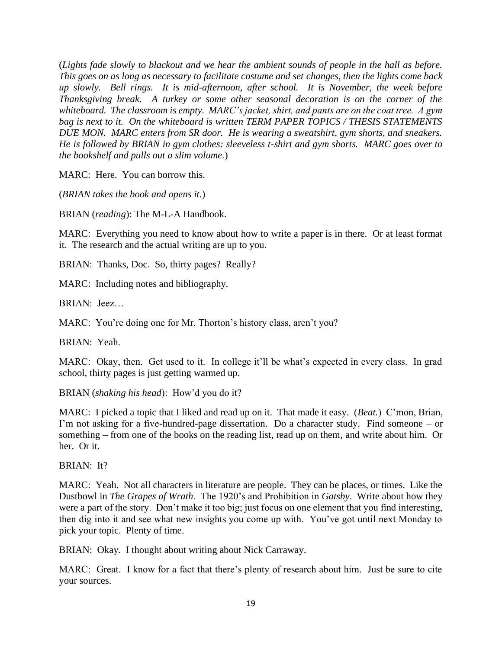(*Lights fade slowly to blackout and we hear the ambient sounds of people in the hall as before. This goes on as long as necessary to facilitate costume and set changes, then the lights come back up slowly. Bell rings. It is mid-afternoon, after school. It is November, the week before Thanksgiving break. A turkey or some other seasonal decoration is on the corner of the whiteboard. The classroom is empty. MARC's jacket, shirt, and pants are on the coat tree. A gym*  bag is next to it. On the whiteboard is written TERM PAPER TOPICS / THESIS STATEMENTS *DUE MON. MARC enters from SR door. He is wearing a sweatshirt, gym shorts, and sneakers. He is followed by BRIAN in gym clothes: sleeveless t-shirt and gym shorts. MARC goes over to the bookshelf and pulls out a slim volume.*)

MARC: Here. You can borrow this.

(*BRIAN takes the book and opens it.*)

BRIAN (*reading*): The M-L-A Handbook.

MARC: Everything you need to know about how to write a paper is in there. Or at least format it. The research and the actual writing are up to you.

BRIAN: Thanks, Doc. So, thirty pages? Really?

MARC: Including notes and bibliography.

BRIAN: Jeez…

MARC: You're doing one for Mr. Thorton's history class, aren't you?

BRIAN: Yeah.

MARC: Okay, then. Get used to it. In college it'll be what's expected in every class. In grad school, thirty pages is just getting warmed up.

BRIAN (*shaking his head*): How'd you do it?

MARC: I picked a topic that I liked and read up on it. That made it easy. (*Beat.*) C'mon, Brian, I'm not asking for a five-hundred-page dissertation. Do a character study. Find someone – or something – from one of the books on the reading list, read up on them, and write about him. Or her. Or it.

BRIAN: It?

MARC: Yeah. Not all characters in literature are people. They can be places, or times. Like the Dustbowl in *The Grapes of Wrath*. The 1920's and Prohibition in *Gatsby*. Write about how they were a part of the story. Don't make it too big; just focus on one element that you find interesting, then dig into it and see what new insights you come up with. You've got until next Monday to pick your topic. Plenty of time.

BRIAN: Okay. I thought about writing about Nick Carraway.

MARC: Great. I know for a fact that there's plenty of research about him. Just be sure to cite your sources.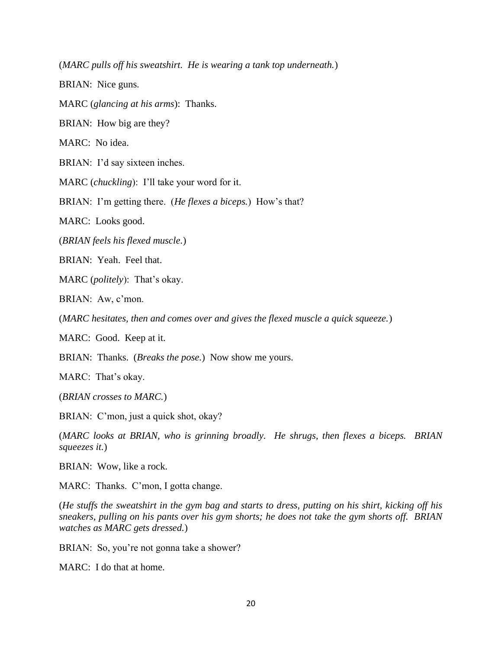(*MARC pulls off his sweatshirt. He is wearing a tank top underneath.*)

BRIAN: Nice guns.

MARC (*glancing at his arms*): Thanks.

BRIAN: How big are they?

MARC: No idea.

BRIAN: I'd say sixteen inches.

MARC (*chuckling*): I'll take your word for it.

BRIAN: I'm getting there. (*He flexes a biceps.*) How's that?

MARC: Looks good.

(*BRIAN feels his flexed muscle.*)

BRIAN: Yeah. Feel that.

MARC (*politely*): That's okay.

BRIAN: Aw, c'mon.

(*MARC hesitates, then and comes over and gives the flexed muscle a quick squeeze.*)

MARC: Good. Keep at it.

BRIAN: Thanks. (*Breaks the pose.*) Now show me yours.

MARC: That's okay.

(*BRIAN crosses to MARC.*)

BRIAN: C'mon, just a quick shot, okay?

(*MARC looks at BRIAN, who is grinning broadly. He shrugs, then flexes a biceps. BRIAN squeezes it.*)

BRIAN: Wow, like a rock.

MARC: Thanks. C'mon, I gotta change.

(*He stuffs the sweatshirt in the gym bag and starts to dress, putting on his shirt, kicking off his sneakers, pulling on his pants over his gym shorts; he does not take the gym shorts off. BRIAN watches as MARC gets dressed.*)

BRIAN: So, you're not gonna take a shower?

MARC: I do that at home.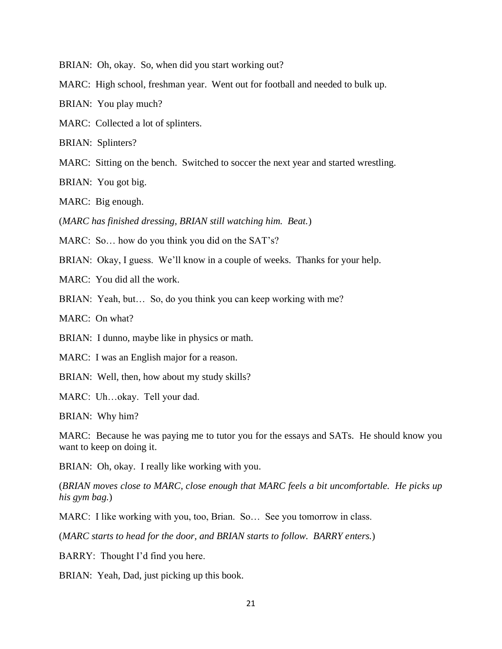BRIAN: Oh, okay. So, when did you start working out?

MARC: High school, freshman year. Went out for football and needed to bulk up.

BRIAN: You play much?

MARC: Collected a lot of splinters.

BRIAN: Splinters?

MARC: Sitting on the bench. Switched to soccer the next year and started wrestling.

BRIAN: You got big.

MARC: Big enough.

(*MARC has finished dressing, BRIAN still watching him. Beat.*)

MARC: So... how do you think you did on the SAT's?

BRIAN: Okay, I guess. We'll know in a couple of weeks. Thanks for your help.

MARC: You did all the work.

BRIAN: Yeah, but... So, do you think you can keep working with me?

MARC: On what?

BRIAN: I dunno, maybe like in physics or math.

MARC: I was an English major for a reason.

BRIAN: Well, then, how about my study skills?

MARC: Uh…okay. Tell your dad.

BRIAN: Why him?

MARC: Because he was paying me to tutor you for the essays and SATs. He should know you want to keep on doing it.

BRIAN: Oh, okay. I really like working with you.

(*BRIAN moves close to MARC, close enough that MARC feels a bit uncomfortable. He picks up his gym bag.*)

MARC: I like working with you, too, Brian. So… See you tomorrow in class.

(*MARC starts to head for the door, and BRIAN starts to follow. BARRY enters.*)

BARRY: Thought I'd find you here.

BRIAN: Yeah, Dad, just picking up this book.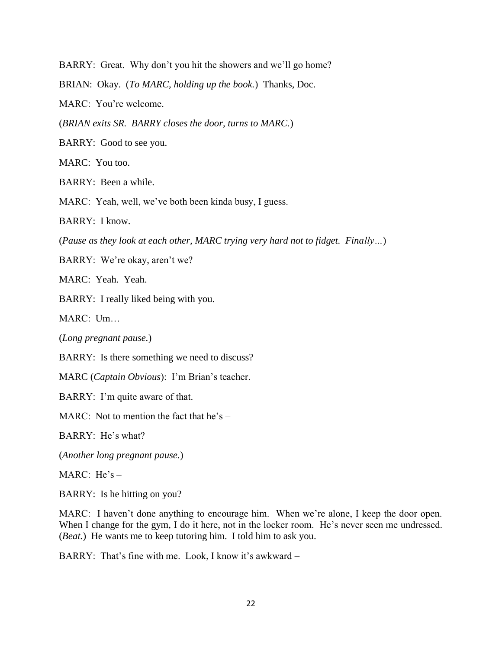BARRY: Great. Why don't you hit the showers and we'll go home?

BRIAN: Okay. (*To MARC, holding up the book.*) Thanks, Doc.

MARC: You're welcome.

(*BRIAN exits SR. BARRY closes the door, turns to MARC.*)

BARRY: Good to see you.

MARC: You too.

BARRY: Been a while.

MARC: Yeah, well, we've both been kinda busy, I guess.

BARRY: I know.

(*Pause as they look at each other, MARC trying very hard not to fidget. Finally…*)

BARRY: We're okay, aren't we?

MARC: Yeah. Yeah.

BARRY: I really liked being with you.

MARC: Um…

(*Long pregnant pause.*)

BARRY: Is there something we need to discuss?

MARC (*Captain Obvious*): I'm Brian's teacher.

BARRY: I'm quite aware of that.

MARC: Not to mention the fact that he's –

BARRY: He's what?

(*Another long pregnant pause.*)

MARC: He's –

BARRY: Is he hitting on you?

MARC: I haven't done anything to encourage him. When we're alone, I keep the door open. When I change for the gym, I do it here, not in the locker room. He's never seen me undressed. (*Beat.*) He wants me to keep tutoring him. I told him to ask you.

BARRY: That's fine with me. Look, I know it's awkward –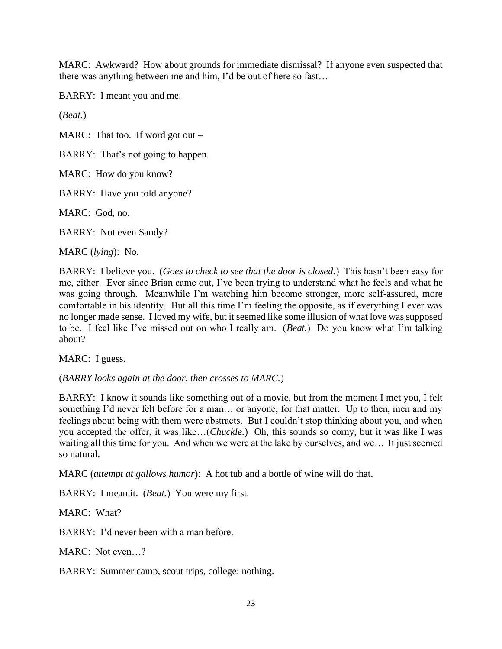MARC: Awkward? How about grounds for immediate dismissal? If anyone even suspected that there was anything between me and him, I'd be out of here so fast…

BARRY: I meant you and me.

(*Beat.*)

MARC: That too. If word got out  $-$ 

BARRY: That's not going to happen.

MARC: How do you know?

BARRY: Have you told anyone?

MARC: God, no.

BARRY: Not even Sandy?

MARC (*lying*): No.

BARRY: I believe you. (*Goes to check to see that the door is closed.*) This hasn't been easy for me, either. Ever since Brian came out, I've been trying to understand what he feels and what he was going through. Meanwhile I'm watching him become stronger, more self-assured, more comfortable in his identity. But all this time I'm feeling the opposite, as if everything I ever was no longer made sense. I loved my wife, but it seemed like some illusion of what love was supposed to be. I feel like I've missed out on who I really am. (*Beat.*) Do you know what I'm talking about?

MARC: I guess.

(*BARRY looks again at the door, then crosses to MARC.*)

BARRY: I know it sounds like something out of a movie, but from the moment I met you, I felt something I'd never felt before for a man... or anyone, for that matter. Up to then, men and my feelings about being with them were abstracts. But I couldn't stop thinking about you, and when you accepted the offer, it was like…(*Chuckle.*) Oh, this sounds so corny, but it was like I was waiting all this time for you. And when we were at the lake by ourselves, and we… It just seemed so natural.

MARC (*attempt at gallows humor*): A hot tub and a bottle of wine will do that.

BARRY: I mean it. (*Beat.*) You were my first.

MARC: What?

BARRY: I'd never been with a man before.

MARC: Not even…?

BARRY: Summer camp, scout trips, college: nothing.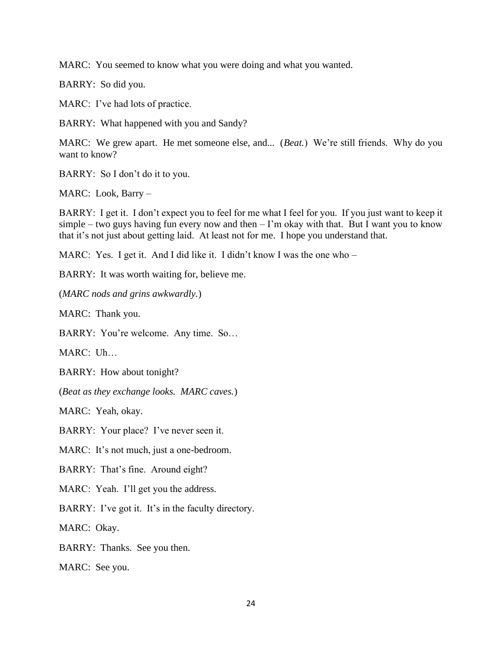MARC: You seemed to know what you were doing and what you wanted.

BARRY: So did you.

MARC: I've had lots of practice.

BARRY: What happened with you and Sandy?

MARC: We grew apart. He met someone else, and... (*Beat.*) We're still friends. Why do you want to know?

BARRY: So I don't do it to you.

MARC: Look, Barry –

BARRY: I get it. I don't expect you to feel for me what I feel for you. If you just want to keep it simple – two guys having fun every now and then  $-1$ 'm okay with that. But I want you to know that it's not just about getting laid. At least not for me. I hope you understand that.

MARC: Yes. I get it. And I did like it. I didn't know I was the one who –

BARRY: It was worth waiting for, believe me.

(*MARC nods and grins awkwardly.*)

MARC: Thank you.

BARRY: You're welcome. Any time. So…

MARC: Uh…

BARRY: How about tonight?

(*Beat as they exchange looks. MARC caves.*)

MARC: Yeah, okay.

BARRY: Your place? I've never seen it.

MARC: It's not much, just a one-bedroom.

BARRY: That's fine. Around eight?

MARC: Yeah. I'll get you the address.

BARRY: I've got it. It's in the faculty directory.

MARC: Okay.

BARRY: Thanks. See you then.

MARC: See you.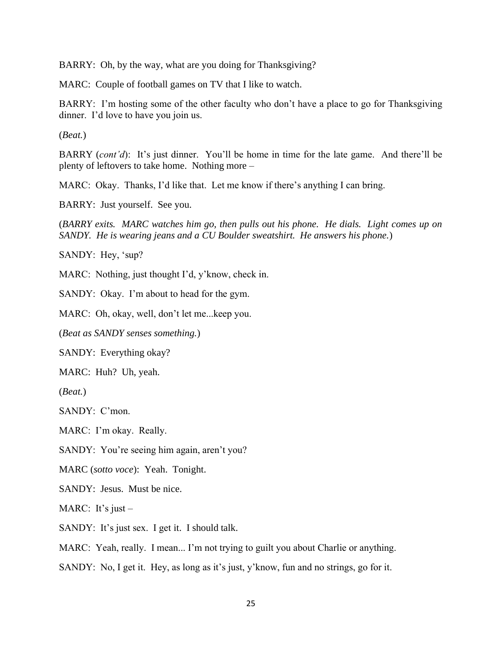BARRY: Oh, by the way, what are you doing for Thanksgiving?

MARC: Couple of football games on TV that I like to watch.

BARRY: I'm hosting some of the other faculty who don't have a place to go for Thanksgiving dinner. I'd love to have you join us.

(*Beat.*)

BARRY (*cont'd*): It's just dinner. You'll be home in time for the late game. And there'll be plenty of leftovers to take home. Nothing more –

MARC: Okay. Thanks, I'd like that. Let me know if there's anything I can bring.

BARRY: Just yourself. See you.

(*BARRY exits. MARC watches him go, then pulls out his phone. He dials. Light comes up on SANDY. He is wearing jeans and a CU Boulder sweatshirt. He answers his phone.*)

SANDY: Hey, 'sup?

MARC: Nothing, just thought I'd, y'know, check in.

SANDY: Okay. I'm about to head for the gym.

MARC: Oh, okay, well, don't let me...keep you.

(*Beat as SANDY senses something.*)

SANDY: Everything okay?

MARC: Huh? Uh, yeah.

(*Beat.*)

SANDY: C'mon.

MARC: I'm okay. Really.

SANDY: You're seeing him again, aren't you?

MARC (*sotto voce*): Yeah. Tonight.

SANDY: Jesus. Must be nice.

MARC: It's just  $-$ 

SANDY: It's just sex. I get it. I should talk.

MARC: Yeah, really. I mean... I'm not trying to guilt you about Charlie or anything.

SANDY: No, I get it. Hey, as long as it's just, y'know, fun and no strings, go for it.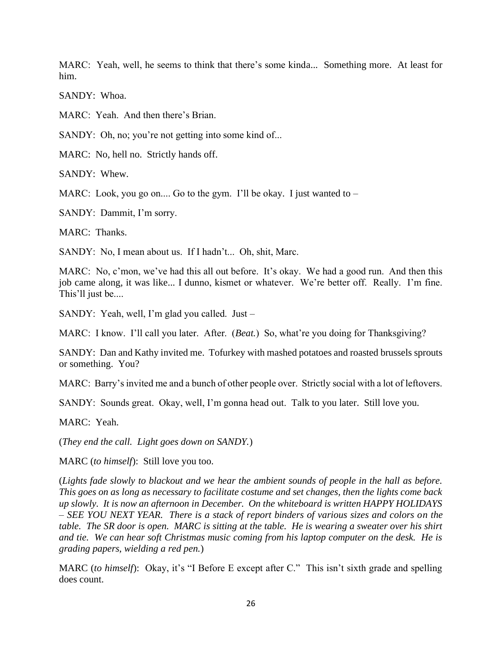MARC: Yeah, well, he seems to think that there's some kinda... Something more. At least for him.

SANDY: Whoa.

MARC: Yeah. And then there's Brian.

SANDY: Oh, no; you're not getting into some kind of...

MARC: No, hell no. Strictly hands off.

SANDY: Whew.

MARC: Look, you go on.... Go to the gym. I'll be okay. I just wanted to  $-$ 

SANDY: Dammit, I'm sorry.

MARC: Thanks.

SANDY: No, I mean about us. If I hadn't... Oh, shit, Marc.

MARC: No, c'mon, we've had this all out before. It's okay. We had a good run. And then this job came along, it was like... I dunno, kismet or whatever. We're better off. Really. I'm fine. This'll just be....

SANDY: Yeah, well, I'm glad you called. Just –

MARC: I know. I'll call you later. After. (*Beat.*) So, what're you doing for Thanksgiving?

SANDY: Dan and Kathy invited me. Tofurkey with mashed potatoes and roasted brussels sprouts or something. You?

MARC: Barry's invited me and a bunch of other people over. Strictly social with a lot of leftovers.

SANDY: Sounds great. Okay, well, I'm gonna head out. Talk to you later. Still love you.

MARC: Yeah.

(*They end the call. Light goes down on SANDY.*)

MARC (*to himself*): Still love you too.

(*Lights fade slowly to blackout and we hear the ambient sounds of people in the hall as before. This goes on as long as necessary to facilitate costume and set changes, then the lights come back up slowly. It is now an afternoon in December. On the whiteboard is written HAPPY HOLIDAYS – SEE YOU NEXT YEAR. There is a stack of report binders of various sizes and colors on the table. The SR door is open. MARC is sitting at the table. He is wearing a sweater over his shirt and tie. We can hear soft Christmas music coming from his laptop computer on the desk. He is grading papers, wielding a red pen.*)

MARC (*to himself*): Okay, it's "I Before E except after C." This isn't sixth grade and spelling does count.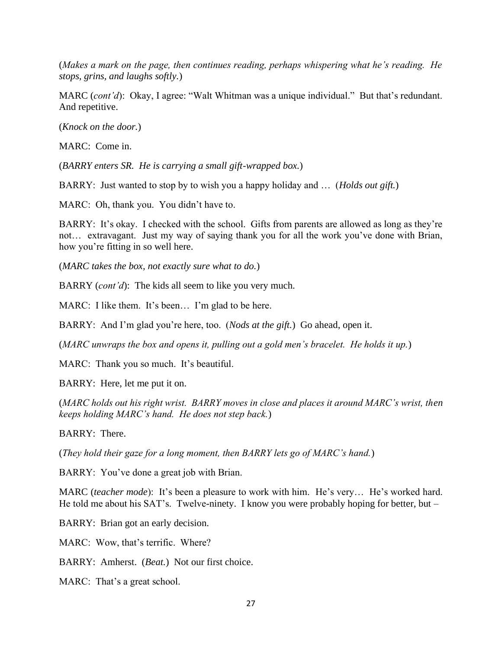(*Makes a mark on the page, then continues reading, perhaps whispering what he's reading. He stops, grins, and laughs softly.*)

MARC (*cont'd*): Okay, I agree: "Walt Whitman was a unique individual." But that's redundant. And repetitive.

(*Knock on the door.*)

MARC: Come in.

(*BARRY enters SR. He is carrying a small gift-wrapped box.*)

BARRY: Just wanted to stop by to wish you a happy holiday and … (*Holds out gift.*)

MARC: Oh, thank you. You didn't have to.

BARRY: It's okay. I checked with the school. Gifts from parents are allowed as long as they're not… extravagant. Just my way of saying thank you for all the work you've done with Brian, how you're fitting in so well here.

(*MARC takes the box, not exactly sure what to do.*)

BARRY (*cont'd*): The kids all seem to like you very much.

MARC: I like them. It's been... I'm glad to be here.

BARRY: And I'm glad you're here, too. (*Nods at the gift.*) Go ahead, open it.

(*MARC unwraps the box and opens it, pulling out a gold men's bracelet. He holds it up.*)

MARC: Thank you so much. It's beautiful.

BARRY: Here, let me put it on.

(*MARC holds out his right wrist. BARRY moves in close and places it around MARC's wrist, then keeps holding MARC's hand. He does not step back.*)

BARRY: There.

(*They hold their gaze for a long moment, then BARRY lets go of MARC's hand.*)

BARRY: You've done a great job with Brian.

MARC (*teacher mode*): It's been a pleasure to work with him. He's very… He's worked hard. He told me about his SAT's. Twelve-ninety. I know you were probably hoping for better, but –

BARRY: Brian got an early decision.

MARC: Wow, that's terrific. Where?

BARRY: Amherst. (*Beat.*) Not our first choice.

MARC: That's a great school.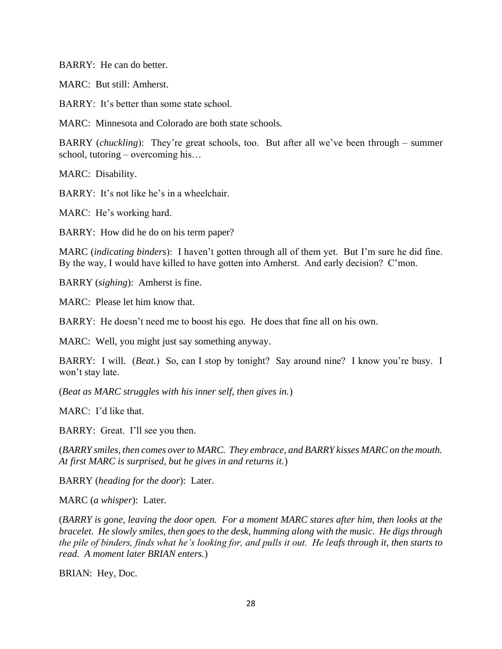BARRY: He can do better.

MARC: But still: Amherst.

BARRY: It's better than some state school.

MARC: Minnesota and Colorado are both state schools.

BARRY (*chuckling*): They're great schools, too. But after all we've been through – summer school, tutoring – overcoming his…

MARC: Disability.

BARRY: It's not like he's in a wheelchair.

MARC: He's working hard.

BARRY: How did he do on his term paper?

MARC (*indicating binders*): I haven't gotten through all of them yet. But I'm sure he did fine. By the way, I would have killed to have gotten into Amherst. And early decision? C'mon.

BARRY (*sighing*): Amherst is fine.

MARC: Please let him know that.

BARRY: He doesn't need me to boost his ego. He does that fine all on his own.

MARC: Well, you might just say something anyway.

BARRY: I will. (*Beat.*) So, can I stop by tonight? Say around nine? I know you're busy. I won't stay late.

(*Beat as MARC struggles with his inner self, then gives in.*)

MARC: I'd like that.

BARRY: Great. I'll see you then.

(*BARRY smiles, then comes over to MARC. They embrace, and BARRY kisses MARC on the mouth. At first MARC is surprised, but he gives in and returns it.*)

BARRY (*heading for the door*): Later.

MARC (*a whisper*): Later.

(*BARRY is gone, leaving the door open. For a moment MARC stares after him, then looks at the bracelet. He slowly smiles, then goes to the desk, humming along with the music. He digs through the pile of binders, finds what he's looking for, and pulls it out. He leafs through it, then starts to read. A moment later BRIAN enters.*)

BRIAN: Hey, Doc.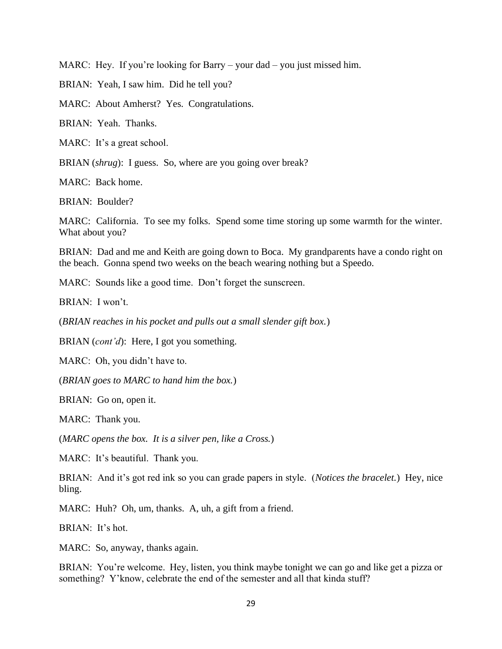MARC: Hey. If you're looking for Barry – your dad – you just missed him.

BRIAN: Yeah, I saw him. Did he tell you?

MARC: About Amherst? Yes. Congratulations.

BRIAN: Yeah. Thanks.

MARC: It's a great school.

BRIAN *(shrug*): I guess. So, where are you going over break?

MARC: Back home.

BRIAN: Boulder?

MARC: California. To see my folks. Spend some time storing up some warmth for the winter. What about you?

BRIAN: Dad and me and Keith are going down to Boca. My grandparents have a condo right on the beach. Gonna spend two weeks on the beach wearing nothing but a Speedo.

MARC: Sounds like a good time. Don't forget the sunscreen.

BRIAN: I won't.

(*BRIAN reaches in his pocket and pulls out a small slender gift box.*)

BRIAN (*cont'd*): Here, I got you something.

MARC: Oh, you didn't have to.

(*BRIAN goes to MARC to hand him the box.*)

BRIAN: Go on, open it.

MARC: Thank you.

(*MARC opens the box. It is a silver pen, like a Cross.*)

MARC: It's beautiful. Thank you.

BRIAN: And it's got red ink so you can grade papers in style. (*Notices the bracelet.*) Hey, nice bling.

MARC: Huh? Oh, um, thanks. A, uh, a gift from a friend.

BRIAN: It's hot.

MARC: So, anyway, thanks again.

BRIAN: You're welcome. Hey, listen, you think maybe tonight we can go and like get a pizza or something? Y'know, celebrate the end of the semester and all that kinda stuff?